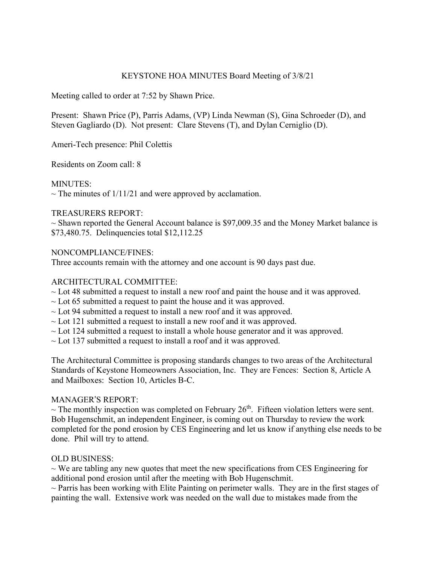#### KEYSTONE HOA MINUTES Board Meeting of 3/8/21

Meeting called to order at 7:52 by Shawn Price.

Present: Shawn Price (P), Parris Adams, (VP) Linda Newman (S), Gina Schroeder (D), and Steven Gagliardo (D). Not present: Clare Stevens (T), and Dylan Cerniglio (D).

Ameri-Tech presence: Phil Colettis

Residents on Zoom call: 8

## MINUTES:

 $\sim$  The minutes of 1/11/21 and were approved by acclamation.

## TREASURERS REPORT:

 $\sim$  Shawn reported the General Account balance is \$97,009.35 and the Money Market balance is \$73,480.75. Delinquencies total \$12,112.25

## NONCOMPLIANCE/FINES:

Three accounts remain with the attorney and one account is 90 days past due.

## ARCHITECTURAL COMMITTEE:

- $\sim$  Lot 48 submitted a request to install a new roof and paint the house and it was approved.
- $\sim$  Lot 65 submitted a request to paint the house and it was approved.
- $\sim$  Lot 94 submitted a request to install a new roof and it was approved.
- $\sim$  Lot 121 submitted a request to install a new roof and it was approved.
- $\sim$  Lot 124 submitted a request to install a whole house generator and it was approved.
- ~ Lot 137 submitted a request to install a roof and it was approved.

The Architectural Committee is proposing standards changes to two areas of the Architectural Standards of Keystone Homeowners Association, Inc. They are Fences: Section 8, Article A and Mailboxes: Section 10, Articles B-C.

## MANAGER'S REPORT:

 $\sim$  The monthly inspection was completed on February 26<sup>th</sup>. Fifteen violation letters were sent. Bob Hugenschmit, an independent Engineer, is coming out on Thursday to review the work completed for the pond erosion by CES Engineering and let us know if anything else needs to be done. Phil will try to attend.

# OLD BUSINESS:

 $\sim$  We are tabling any new quotes that meet the new specifications from CES Engineering for additional pond erosion until after the meeting with Bob Hugenschmit.

 $\sim$  Parris has been working with Elite Painting on perimeter walls. They are in the first stages of painting the wall. Extensive work was needed on the wall due to mistakes made from the